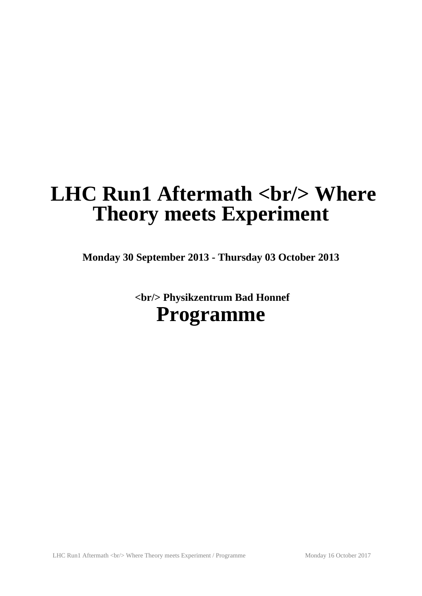# **LHC Run1 Aftermath <br/>br/> Where Theory meets Experiment**

**Monday 30 September 2013 - Thursday 03 October 2013**

 **<br/> Physikzentrum Bad Honnef Programme**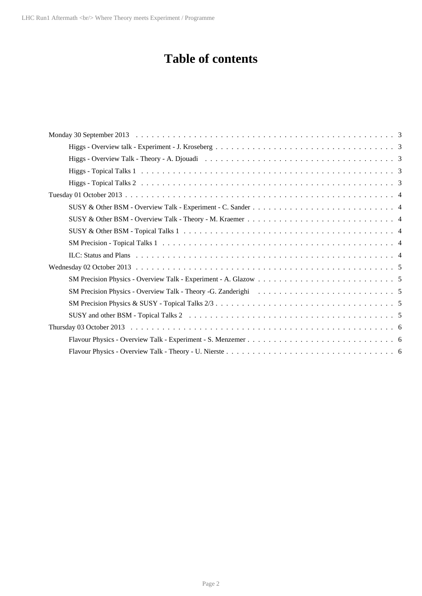# **Table of contents**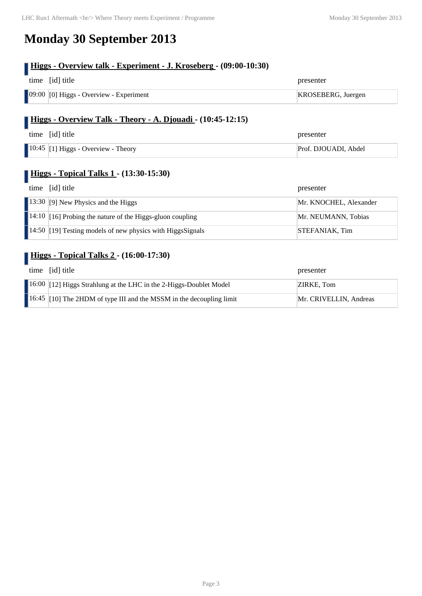# **Monday 30 September 2013**

### **Higgs - Overview talk - Experiment - J. Kroseberg - (09:00-10:30)**

| time [id] title                                         | presenter          |
|---------------------------------------------------------|--------------------|
| $\vert$ 09:00 $\vert$ [0] Higgs - Overview - Experiment | KROSEBERG, Juergen |

#### **Higgs - Overview Talk - Theory - A. Djouadi - (10:45-12:15)**

| time [id] title                                     | presenter            |
|-----------------------------------------------------|----------------------|
| $\vert$ 10:45 $\vert$ [1] Higgs - Overview - Theory | Prof. DJOUADI, Abdel |

#### **Higgs - Topical Talks 1 - (13:30-15:30)**

| time [id] title                                                          | presenter              |
|--------------------------------------------------------------------------|------------------------|
| 13:30 [9] New Physics and the Higgs                                      | Mr. KNOCHEL, Alexander |
| $\vert$ 14:10 $\vert$ 16] Probing the nature of the Higgs-gluon coupling | Mr. NEUMANN, Tobias    |
| 14:50 $\vert$ 19] Testing models of new physics with Higgs Signals       | STEFANIAK, Tim         |

### **Higgs - Topical Talks 2 - (16:00-17:30)**

| time [id] title                                                                  | presenter              |
|----------------------------------------------------------------------------------|------------------------|
| 16:00 [12] Higgs Strahlung at the LHC in the 2-Higgs-Doublet Model               | ZIRKE, Tom             |
| $\parallel$ 16:45 [10] The 2HDM of type III and the MSSM in the decoupling limit | Mr. CRIVELLIN, Andreas |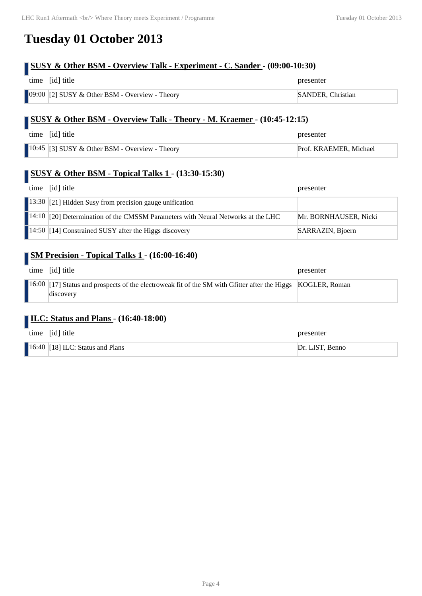## **Tuesday 01 October 2013**

### **SUSY & Other BSM - Overview Talk - Experiment - C. Sander - (09:00-10:30)**

| time [id] title                                               | presenter                |
|---------------------------------------------------------------|--------------------------|
| $\blacksquare$ 09:00 [2] SUSY & Other BSM - Overview - Theory | <b>SANDER, Christian</b> |

#### **SUSY & Other BSM - Overview Talk - Theory - M. Kraemer - (10:45-12:15)**

| time [id] title                                        | presenter              |
|--------------------------------------------------------|------------------------|
| 10:45 $\vert$ [3] SUSY & Other BSM - Overview - Theory | Prof. KRAEMER, Michael |

#### **SUSY & Other BSM - Topical Talks 1 - (13:30-15:30)**

| time [id] title                                                                  | presenter             |
|----------------------------------------------------------------------------------|-----------------------|
| 13:30 [21] Hidden Susy from precision gauge unification                          |                       |
| 14:10 [20] Determination of the CMSSM Parameters with Neural Networks at the LHC | Mr. BORNHAUSER, Nicki |
| $\blacksquare$ 14:50 [14] Constrained SUSY after the Higgs discovery             | SARRAZIN, Bjoern      |

#### **SM Precision - Topical Talks 1 - (16:00-16:40)**

| time [id] title                                                                                                          | presenter |
|--------------------------------------------------------------------------------------------------------------------------|-----------|
| 16:00 [17] Status and prospects of the electroweak fit of the SM with Gfitter after the Higgs KOGLER, Roman<br>discovery |           |

#### **ILC: Status and Plans - (16:40-18:00)**

| time [id] title                    | presenter       |
|------------------------------------|-----------------|
| $16:40$ [18] ILC: Status and Plans | Dr. LIST, Benno |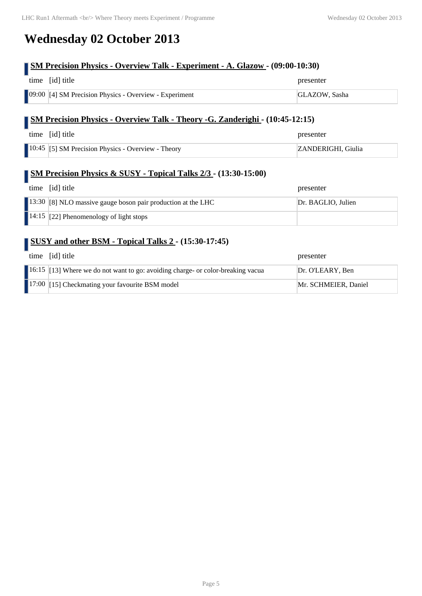# **Wednesday 02 October 2013**

### **SM Precision Physics - Overview Talk - Experiment - A. Glazow - (09:00-10:30)**

| time [id] title                                        | presenter     |
|--------------------------------------------------------|---------------|
| 09:00 [4] SM Precision Physics - Overview - Experiment | GLAZOW, Sasha |

#### **SM Precision Physics - Overview Talk - Theory -G. Zanderighi - (10:45-12:15)**

| time [id] title                                           | presenter          |
|-----------------------------------------------------------|--------------------|
| <b>10:45</b> [5] SM Precision Physics - Overview - Theory | ZANDERIGHI, Giulia |

#### **SM Precision Physics & SUSY - Topical Talks 2/3 - (13:30-15:00)**

| time [id] title                                              | presenter          |
|--------------------------------------------------------------|--------------------|
| 13:30 [8] NLO massive gauge boson pair production at the LHC | Dr. BAGLIO, Julien |
| $\blacksquare$ 14:15 [22] Phenomenology of light stops       |                    |

#### **SUSY and other BSM - Topical Talks 2 - (15:30-17:45)**

| time | [id] title                                                                      | presenter            |
|------|---------------------------------------------------------------------------------|----------------------|
|      | 16:15 [13] Where we do not want to go: avoiding charge- or color-breaking vacua | Dr. O'LEARY, Ben     |
|      | 17:00 [15] Checkmating your favourite BSM model                                 | Mr. SCHMEIER, Daniel |